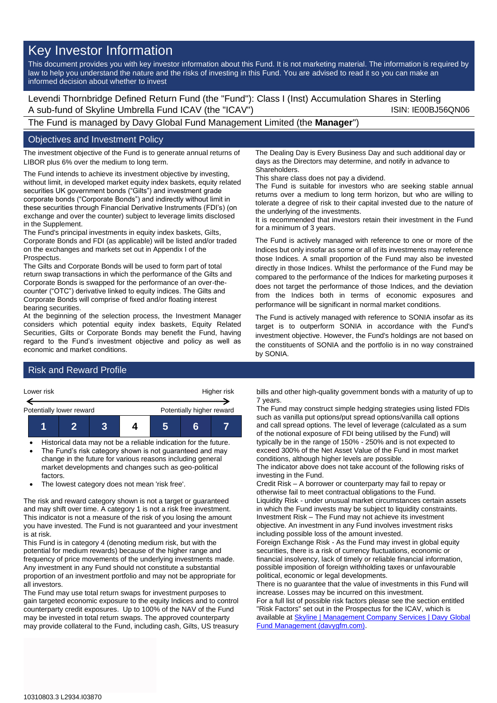# Key Investor Information

This document provides you with key investor information about this Fund. It is not marketing material. The information is required by law to help you understand the nature and the risks of investing in this Fund. You are advised to read it so you can make an informed decision about whether to invest

Levendi Thornbridge Defined Return Fund (the "Fund"): Class I (Inst) Accumulation Shares in Sterling A sub-fund of Skyline Umbrella Fund ICAV (the "ICAV") ISIN: IE00BJ56QN06

The Fund is managed by Davy Global Fund Management Limited (the **Manager**")

### Objectives and Investment Policy

The investment objective of the Fund is to generate annual returns of LIBOR plus 6% over the medium to long term.

The Fund intends to achieve its investment objective by investing, without limit, in developed market equity index baskets, equity related securities UK government bonds ("Gilts") and investment grade corporate bonds ("Corporate Bonds") and indirectly without limit in these securities through Financial Derivative Instruments (FDI's) (on exchange and over the counter) subject to leverage limits disclosed in the Supplement.

The Fund's principal investments in equity index baskets, Gilts, Corporate Bonds and FDI (as applicable) will be listed and/or traded on the exchanges and markets set out in Appendix I of the Prospectus.

The Gilts and Corporate Bonds will be used to form part of total return swap transactions in which the performance of the Gilts and Corporate Bonds is swapped for the performance of an over-thecounter ("OTC") derivative linked to equity indices. The Gilts and Corporate Bonds will comprise of fixed and/or floating interest bearing securities.

At the beginning of the selection process, the Investment Manager considers which potential equity index baskets, Equity Related Securities, Gilts or Corporate Bonds may benefit the Fund, having regard to the Fund's investment objective and policy as well as economic and market conditions.

The Dealing Day is Every Business Day and such additional day or days as the Directors may determine, and notify in advance to **Shareholders** 

This share class does not pay a dividend.

The Fund is suitable for investors who are seeking stable annual returns over a medium to long term horizon, but who are willing to tolerate a degree of risk to their capital invested due to the nature of the underlying of the investments.

It is recommended that investors retain their investment in the Fund for a minimum of 3 years.

The Fund is actively managed with reference to one or more of the Indices but only insofar as some or all of its investments may reference those Indices. A small proportion of the Fund may also be invested directly in those Indices. Whilst the performance of the Fund may be compared to the performance of the Indices for marketing purposes it does not target the performance of those Indices, and the deviation from the Indices both in terms of economic exposures and performance will be significant in normal market conditions.

The Fund is actively managed with reference to SONIA insofar as its target is to outperform SONIA in accordance with the Fund's investment objective. However, the Fund's holdings are not based on the constituents of SONIA and the portfolio is in no way constrained by SONIA.

## Risk and Reward Profile



- Historical data may not be a reliable indication for the future. The Fund's risk category shown is not guaranteed and may
- change in the future for various reasons including general market developments and changes such as geo-political factors.
- The lowest category does not mean 'risk free'.

The risk and reward category shown is not a target or guaranteed and may shift over time. A category 1 is not a risk free investment. This indicator is not a measure of the risk of you losing the amount you have invested. The Fund is not guaranteed and your investment is at risk.

This Fund is in category 4 (denoting medium risk, but with the potential for medium rewards) because of the higher range and frequency of price movements of the underlying investments made. Any investment in any Fund should not constitute a substantial proportion of an investment portfolio and may not be appropriate for all investors.

The Fund may use total return swaps for investment purposes to gain targeted economic exposure to the equity Indices and to control counterparty credit exposures. Up to 100% of the NAV of the Fund may be invested in total return swaps. The approved counterparty may provide collateral to the Fund, including cash, Gilts, US treasury

bills and other high-quality government bonds with a maturity of up to 7 years.

The Fund may construct simple hedging strategies using listed FDIs such as vanilla put options/put spread options/vanilla call options and call spread options. The level of leverage (calculated as a sum of the notional exposure of FDI being utilised by the Fund) will typically be in the range of 150% - 250% and is not expected to exceed 300% of the Net Asset Value of the Fund in most market conditions, although higher levels are possible.

The indicator above does not take account of the following risks of investing in the Fund.

Credit Risk – A borrower or counterparty may fail to repay or otherwise fail to meet contractual obligations to the Fund. Liquidity Risk - under unusual market circumstances certain assets in which the Fund invests may be subject to liquidity constraints. Investment Risk – The Fund may not achieve its investment objective. An investment in any Fund involves investment risks including possible loss of the amount invested.

Foreign Exchange Risk - As the Fund may invest in global equity securities, there is a risk of currency fluctuations, economic or financial insolvency, lack of timely or reliable financial information, possible imposition of foreign withholding taxes or unfavourable political, economic or legal developments.

There is no guarantee that the value of investments in this Fund will increase. Losses may be incurred on this investment.

For a full list of possible risk factors please see the section entitled "Risk Factors" set out in the Prospectus for the ICAV, which is available a[t Skyline | Management Company Services | Davy Global](https://www.davygfm.com/funds-factsheets/management-company-services/ireland/skyline.html)  [Fund Management \(davygfm.com\).](https://www.davygfm.com/funds-factsheets/management-company-services/ireland/skyline.html)